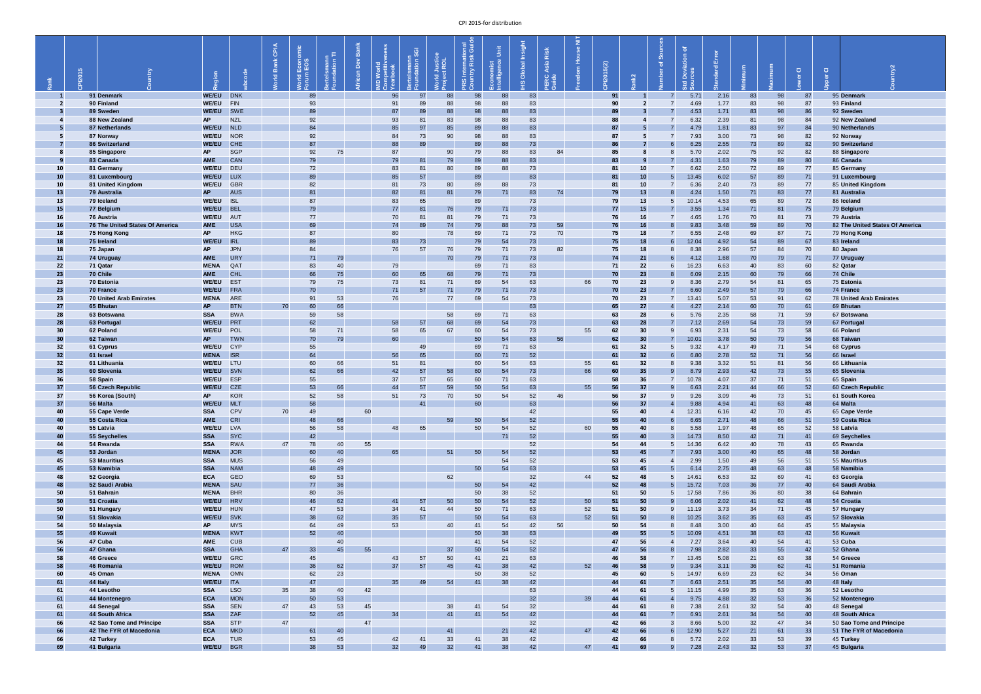|                 | ം |                                       | gion                         |                          | CPIA<br>മ<br>흳 | $\frac{10}{10}$<br>Econo<br>픧 | ertelsmann<br>bundation TI | ank<br>$\Omega$ |          | $\sqrt{\frac{1}{3}}$<br>astriami<br>Idation | <b>orld Justice</b><br><b>oject ROL</b> | Dinal<br>Guide<br>S International | Unit<br>/ ဗွ<br>onomis<br>:elligen | Insight<br>$\overline{6}$<br>Globi<br>$\omega$ | Risk<br>Asia<br><b>RC</b><br><b>RC</b> |    | 5(2)<br>$\overline{6}$<br>$\mathbf{\Omega}$ |                        | $\overline{\sigma}$<br>$\overline{5}$<br>$\Box$ |               | $\sigma$     |          |          | $\overline{O}$ | er Cl |                                      |
|-----------------|---|---------------------------------------|------------------------------|--------------------------|----------------|-------------------------------|----------------------------|-----------------|----------|---------------------------------------------|-----------------------------------------|-----------------------------------|------------------------------------|------------------------------------------------|----------------------------------------|----|---------------------------------------------|------------------------|-------------------------------------------------|---------------|--------------|----------|----------|----------------|-------|--------------------------------------|
|                 |   | 91 Denmark                            | WE/EU DNK                    |                          |                | 89                            |                            |                 | 96       | 97                                          | 88                                      | $98\,$                            | 88                                 | 83                                             |                                        |    | 91                                          |                        |                                                 | 5.71          | 2.16         | 83       | 98       | 87             |       | 95 Denmark                           |
|                 |   | 90 Finland<br>89 Sweden               | <b>WE/EU</b><br><b>WE/EU</b> | FIN<br>SWE               |                | 93<br>89                      |                            |                 | 91<br>87 | 89<br>89                                    | 88<br>88                                | 98<br>98                          | 88<br>88                           | 83<br>83                                       |                                        |    | 90<br>89                                    |                        |                                                 | 4.69<br>4.53  | 1.77<br>1.71 | 83<br>83 | 98<br>98 | 87<br>86       |       | 93 Finland<br>92 Sweden              |
|                 |   | 88 New Zealand                        | <b>AP</b>                    | <b>NZL</b>               |                | 92                            |                            |                 | 93       | 81                                          | 83                                      | 98                                | 88                                 | 83                                             |                                        |    | 88                                          |                        |                                                 | 6.32          | 2.39         | 81       | 98       | 84             |       | 92 New Zealand                       |
|                 |   | 87 Netherlands                        | <b>WE/EU</b>                 | <b>NLD</b>               |                | 84                            |                            |                 | 85       | 97                                          | 85                                      | 89                                | 88                                 | 83                                             |                                        |    | 87                                          |                        |                                                 | 4.79          | 1.81         | 83       | 97       | 84             |       | 90 Netherlands                       |
| -5              |   | 87 Norway<br>86 Switzerland           | <b>WE/EU</b><br><b>WE/EU</b> | <b>NOR</b><br><b>CHE</b> |                | 92<br>87                      |                            |                 | 84<br>88 | 73<br>89                                    | 90                                      | 98<br>89                          | 88<br>88                           | 83<br>73                                       |                                        |    | 87<br>86                                    |                        |                                                 | 7.93<br>6.25  | 3.00<br>2.55 | 73<br>73 | 98<br>89 | 82<br>82       |       | 92 Norway<br>90 Switzerland          |
|                 |   | 85 Singapore                          | <b>AP</b>                    | <b>SGP</b>               |                | 92                            | 75                         |                 | 87       |                                             | 90                                      | 79                                | 88                                 | 83                                             | 84                                     |    | 85                                          |                        |                                                 | 5.70          | 2.02         | 75       | 92       | 82             |       | 88 Singapore                         |
|                 |   | 83 Canada                             | <b>AME</b>                   | <b>CAN</b>               |                | 79                            |                            |                 | 79       | 81                                          | 79                                      | 89                                | 88                                 | 83                                             |                                        |    | 83                                          | -9                     |                                                 | 4.31          | 1.63         | 79       | 89       | 80             |       | 86 Canada                            |
| 10<br>10        |   | 81 Germany<br>81 Luxembourg           | <b>WE/EU</b><br><b>WE/EU</b> | DEU<br><b>LUX</b>        |                | 72<br>89                      |                            |                 | 83<br>85 | 81<br>57                                    | 80                                      | 89<br>89                          | 88                                 | 73<br>83                                       |                                        |    | 81<br>81                                    | 10<br>10               |                                                 | 6.62<br>13.45 | 2.50<br>6.02 | 72<br>57 | 89<br>89 | 77<br>71       |       | 85 Germany<br>91 Luxembourg          |
| 10              |   | 81 United Kingdom                     | <b>WE/EU</b>                 | <b>GBR</b>               |                | 82                            |                            |                 | -81      | 73                                          | 80                                      | 89                                | 88                                 | 73                                             |                                        |    | 81                                          | 10                     |                                                 | 6.36          | 2.40         | 73       | 89       | 77             |       | 85 United Kingdom                    |
| 13              |   | 79 Australia                          | AP                           | <b>AUS</b>               |                | 81                            |                            |                 | 82       | 81                                          | 81                                      | 79                                | 71                                 | 83                                             | 74                                     |    | 79                                          | 13                     |                                                 | 4.24          | 1.50         | 71       | 83       | 77             |       | 81 Australia                         |
| 13              |   | 79 Iceland                            | <b>WE/EU</b>                 | <b>ISL</b><br><b>BEL</b> |                | 87                            |                            |                 | 83       | 65                                          |                                         | 89                                |                                    | 73                                             |                                        |    | 79                                          | 13                     |                                                 | 10.14         | 4.53         | 65       | 89       | 72             |       | 86 Iceland                           |
| <b>15</b><br>16 |   | 77 Belgium<br>76 Austria              | <b>WE/EU</b><br><b>WE/EU</b> | AUT                      |                | 79<br>77                      |                            |                 | 77<br>70 | 81                                          | 76<br>81                                | 79<br>79                          | 71<br>71                           | 73<br>73                                       |                                        |    | 77<br>76                                    | <b>15</b><br><b>16</b> |                                                 | 3.55<br>4.65  | 1.34<br>1.76 | 71<br>70 | 81<br>81 | 75<br>73       |       | 79 Belgium<br>79 Austria             |
| 16              |   | 76 The United States Of America       | <b>AME</b>                   | <b>USA</b>               |                | 69                            |                            |                 | 74       | 89                                          | 74                                      | 79                                | 88                                 | 73                                             | 59                                     |    | 76                                          | <b>16</b>              |                                                 | 9.83          | 3.48         | 59       | 89       | 70             |       | 82 The United States Of America      |
| 18              |   | 75 Hong Kong                          | <b>AP</b>                    | <b>HKG</b>               |                | 87                            |                            |                 | 80       |                                             | 78                                      | 69                                | 71                                 | 73                                             | 70                                     |    | 75                                          | <b>18</b>              |                                                 | 6.55          | 2.48         | 69       | 87       | 71             |       | 79 Hong Kong                         |
| <b>18</b><br>18 |   | 75 Ireland<br>75 Japan                | <b>WE/EU</b><br><b>AP</b>    | <b>IRL</b><br><b>JPN</b> |                | 89<br>84                      |                            |                 | 83<br>76 | 73<br>57                                    | 76                                      | 79<br>79                          | 54<br>71                           | 73<br>73                                       | 82                                     |    | 75<br>75                                    | <b>18</b><br>18        |                                                 | 12.04<br>8.38 | 4.92<br>2.96 | 54<br>57 | 89<br>84 | 67<br>70       |       | 83 Ireland<br>80 Japan               |
| 21              |   | 74 Uruguay                            | <b>AME</b>                   | <b>URY</b>               |                | 71                            | 79                         |                 |          |                                             | 70                                      | 79                                | 71                                 | 73                                             |                                        |    | 74                                          | 21                     |                                                 | 4.12          | 1.68         | 70       | 79       | 71             |       | 77 Uruguay                           |
| 22              |   | 71 Qatar                              | <b>MENA</b>                  | QAT                      |                | 83                            | 40                         |                 | 79       |                                             |                                         | 69                                | 71                                 | 83                                             |                                        |    |                                             | 22                     |                                                 | 16.23         | 6.63         | 40       | 83       | 60             |       | 82 Qatar                             |
| 23              |   | 70 Chile                              | <b>AME</b>                   | <b>CHL</b><br><b>EST</b> |                | 66                            | 75                         |                 | 60       | 65                                          | 68                                      | 79                                | 71                                 | 73                                             |                                        |    | 70                                          | 23                     |                                                 | 6.09          | 2.15         | 60       | 79       | 66             |       | 74 Chile                             |
| 23<br>23        |   | 70 Estonia<br>70 France               | <b>WE/EU</b><br><b>WE/EU</b> | <b>FRA</b>               |                | 79<br>70                      | 75                         |                 | 73<br>71 | 81<br>57                                    | 71<br>71                                | 69<br>79                          | 54<br>71                           | 63<br>73                                       |                                        | 66 | 70<br>70                                    | 23<br>23               |                                                 | 8.36<br>6.60  | 2.79<br>2.49 | 54<br>57 | 81<br>79 | 65<br>66       |       | 75 Estonia<br>74 France              |
| 23              |   | <b>70 United Arab Emirates</b>        | <b>MENA</b>                  | <b>ARE</b>               |                | 91                            | 53                         |                 | 76       |                                             | 77                                      | 69                                | 54                                 | 73                                             |                                        |    | 70                                          | 23                     |                                                 | 13.41         | 5.07         | 53       | 91       | 62             |       | <b>78 United Arab Emirates</b>       |
| 27              |   | 65 Bhutan                             | <b>AP</b>                    | <b>BTN</b>               | 70             | 60                            | 66                         |                 |          |                                             |                                         |                                   |                                    | 63                                             |                                        |    | 65                                          | 27                     |                                                 | 4.27          | 2.14         | 60       | 70       | 61             |       | 69 Bhutan                            |
| 28<br>28        |   | 63 Botswana<br>63 Portugal            | <b>SSA</b><br><b>WE/EU</b>   | <b>BWA</b><br>PRT        |                | 59<br>62                      | 58                         |                 | 58       | 57                                          | 58<br>68                                | 69<br>69                          | 71<br>54                           | 63<br>73                                       |                                        |    | 63<br>63                                    | 28<br><b>28</b>        |                                                 | 5.76<br>7.12  | 2.35<br>2.69 | 58<br>54 | 71<br>73 | 59<br>59       |       | 67 Botswana<br>67 Portugal           |
| 30              |   | 62 Poland                             | <b>WE/EU</b>                 | POL                      |                | 58                            | 71                         |                 | 58       | 65                                          | 67                                      | 60                                | 54                                 | 73                                             |                                        | 55 | 62                                          | 30 <sub>o</sub>        |                                                 | 6.93          | 2.31         | 54       | 73       | 58             |       | 66 Poland                            |
| 30 <sub>o</sub> |   | 62 Taiwan                             | AP                           | <b>TWN</b>               |                | 70                            | 79                         |                 | 60       |                                             |                                         | 50                                | 54                                 | 63                                             | 56                                     |    | 62                                          | 30 <sup>°</sup>        |                                                 | 10.01         | 3.78         | 50       | 79       | 56             |       | 68 Taiwan                            |
| 32              |   | 61 Cyprus                             | <b>WE/EU</b>                 | <b>CYP</b>               |                | 55                            |                            |                 |          | 49                                          |                                         | 69                                | 71                                 | 63                                             |                                        |    | 61                                          | 32                     |                                                 | 9.32          | 4.17         | 49       | 71       | 54             |       | 68 Cyprus                            |
| $32$<br>32      |   | 61 Israel<br>61 Lithuania             | <b>MENA</b> ISR<br>WE/EU LTU |                          |                | 64<br>60                      | 66                         |                 | 56<br>51 | 65<br>81                                    |                                         | 60<br>60                          | 71<br>54                           | 52<br>63                                       |                                        | 55 | 61<br>61                                    | 32<br>32               |                                                 | 6.80<br>9.38  | 2.78<br>3.32 | 52<br>51 | 71<br>81 | 56<br>56       |       | 66 Israel<br>66 Lithuania            |
| 35              |   | 60 Slovenia                           | WE/EU SVN                    |                          |                | 62                            | 66                         |                 | 42       | 57                                          | 58                                      | 60                                | 54                                 | 73                                             |                                        | 66 | 60                                          | 35                     |                                                 | 8.79          | 2.93         | 42       | 73       | 55             |       | 65 Slovenia                          |
| 36              |   | 58 Spain                              | WE/EU ESP                    |                          |                | 55                            |                            |                 | 37       | 57                                          | 65                                      | 60                                | 71                                 | 63                                             |                                        |    | 58                                          | 36                     |                                                 | 10.78         | 4.07         | 37       | 71       | 51             |       | 65 Spain                             |
| 37<br>37        |   | 56 Czech Republic<br>56 Korea (South) | <b>WE/EU</b><br><b>AP</b>    | <b>CZE</b><br><b>KOR</b> |                | 53<br>52                      | 66<br>58                   |                 | 44<br>51 | 57<br>73                                    | 59<br>70                                | $50\,$<br>50                      | 54<br>54                           | 63<br>52                                       | 46                                     | 55 | 56<br>56                                    | 37<br>37               |                                                 | 6.63<br>9.26  | 2.21<br>3.09 | 44<br>46 | 66<br>73 | 52<br>51       |       | 60 Czech Republic<br>61 South Korea  |
| 37              |   | 56 Malta                              | <b>WE/EU</b>                 | <b>MLT</b>               |                | 58                            |                            |                 |          | 41                                          |                                         | 60                                |                                    | 63                                             |                                        |    | 56                                          | 37                     |                                                 | 9.88          | 4.94         | 41       | 63       | 48             |       | 64 Malta                             |
| 40              |   | 55 Cape Verde                         | <b>SSA</b>                   | <b>CPV</b>               | 70             | 49                            |                            | 60              |          |                                             |                                         |                                   |                                    | 42                                             |                                        |    | 55                                          | 40                     |                                                 | 12.31         | 6.16         | 42       | 70       | 45             |       | 65 Cape Verde                        |
| 40<br>40        |   | 55 Costa Rica<br>55 Latvia            | <b>AME</b><br><b>WE/EU</b>   | <b>CRI</b><br><b>LVA</b> |                | 48<br>56                      | 66<br>58                   |                 | 48       | 65                                          | 59                                      | $50\,$<br>50                      | 54<br>54                           | 52<br>52                                       |                                        | 60 | 55<br>55                                    | 40<br>40               |                                                 | 6.65<br>5.58  | 2.71<br>1.97 | 48<br>48 | 66<br>65 | 51<br>52       |       | 59 Costa Rica<br>58 Latvia           |
| 40              |   | 55 Seychelles                         | <b>SSA</b>                   | <b>SYC</b>               |                | 42                            |                            |                 |          |                                             |                                         |                                   | 71                                 | 52                                             |                                        |    | 55                                          | 40                     |                                                 | 14.73         | 8.50         | 42       | 71       | 41             |       | 69 Seychelles                        |
| 44              |   | 54 Rwanda                             | <b>SSA</b>                   | <b>RWA</b>               | 47             | 78                            | 40                         | 55              |          |                                             |                                         |                                   |                                    | 52                                             |                                        |    | 54                                          | 44                     |                                                 | 14.36         | 6.42         | 40       | 78       | 43             |       | 65 Rwanda                            |
| 45              |   | 53 Jordan                             | <b>MENA</b>                  | <b>JOR</b>               |                | 60                            | 40                         |                 | 65       |                                             | 51                                      | 50                                | 54                                 | 52                                             |                                        |    | 53                                          | 45                     |                                                 | 7.93          | 3.00         | 40       | 65       | 48             |       | 58 Jordan                            |
| 45<br>45        |   | <b>53 Mauritius</b><br>53 Namibia     | <b>SSA</b><br><b>SSA</b>     | <b>MUS</b><br><b>NAM</b> |                | 56<br>48                      | 49<br>49                   |                 |          |                                             |                                         | 50                                | 54<br>54                           | 52<br>63                                       |                                        |    | 53<br>53                                    | 45<br>45               |                                                 | 2.99<br>6.14  | 1.50<br>2.75 | 49<br>48 | 56<br>63 | 51<br>48       |       | 55 Mauritius<br>58 Namibia           |
| 48              |   | 52 Georgia                            | <b>ECA</b>                   | GEO                      |                | 69                            | 53                         |                 |          |                                             | 62                                      |                                   |                                    | 32                                             |                                        | 44 | 52                                          | 48                     |                                                 | 14.61         | 6.53         | 32       | 69       | 41             |       | 63 Georgia                           |
| 48              |   | 52 Saudi Arabia                       | <b>MENA</b>                  | SAU                      |                | 77                            | 36                         |                 |          |                                             |                                         | 50                                | 54                                 | 42                                             |                                        |    | 52                                          | 48                     |                                                 | 15.72         | 7.03         | 36       | 77       | 40             |       | 64 Saudi Arabia                      |
| 50<br>50        |   | 51 Bahrain<br>51 Croatia              | <b>MENA</b><br><b>WE/EU</b>  | <b>BHR</b><br><b>HRV</b> |                | 80<br>46                      | 36<br>62                   |                 | -41      | 57                                          | 50                                      | 50<br>50                          | 38<br>54                           | 52<br>52                                       |                                        | 50 | 51<br>51                                    | 50<br>50 <sub>2</sub>  |                                                 | 17.58<br>6.06 | 7.86<br>2.02 | 36<br>41 | 80<br>62 | 38<br>48       |       | 64 Bahrain<br>54 Croatia             |
| 50              |   | 51 Hungary                            | <b>WE/EU</b>                 | HUN                      |                | 47                            | 53                         |                 | 34       |                                             | 44                                      | 50                                | 71                                 | 63                                             |                                        | 52 | 51                                          | 50                     |                                                 | 11.19         | 3.73         | 34       | 71       | 45             |       | 57 Hungary                           |
| 50              |   | 51 Slovakia                           | WE/EU SVK                    |                          |                | 38                            | 62                         |                 | 35       | 57                                          |                                         | 50                                | 54                                 | 63                                             |                                        | 52 | 51                                          | 50                     |                                                 | 10.25         | 3.62         | 35       | 63       | 45             |       | 57 Slovakia                          |
| 54<br>55        |   | 50 Malaysia<br>49 Kuwait              | <b>AP</b><br><b>MENA</b>     | <b>MYS</b><br>KWT        |                | 64<br>52                      | 49<br>40                   |                 | 53       |                                             | 40                                      | 41<br>50                          | 54<br>38                           | 42<br>63                                       | 56                                     |    | 50<br>49                                    | 54<br>55               |                                                 | 8.48<br>10.09 | 3.00         | 40<br>38 | 64<br>63 | 45<br>42       |       | 55 Malaysia<br>56 Kuwait             |
| 56              |   | 47 Cuba                               | <b>AME</b>                   | <b>CUB</b>               |                |                               | 40                         |                 |          |                                             |                                         | 41                                | 54                                 | 52                                             |                                        |    | 47                                          | 56                     |                                                 | 7.27          | 4.51<br>3.64 | 40       | 54       | 41             |       | 53 Cuba                              |
| 56              |   | 47 Ghana                              | <b>SSA</b>                   | GHA                      | 47             | 33                            | 45                         | 55              |          |                                             | 37                                      | 50                                | 54                                 | 52                                             |                                        |    | 47                                          | 56                     |                                                 | 7.98          | 2.82         | 33       | 55       | 42             |       | 52 Ghana                             |
| 58              |   | 46 Greece                             | <b>WE/EU</b>                 | GRC                      |                | 45                            |                            |                 | 43       | 57                                          | 50                                      | 41                                | 21                                 | 63                                             |                                        |    | 46                                          | 58                     |                                                 | 13.45         | 5.08         | 21       | 63       | 38             |       | 54 Greece                            |
| 58<br>60        |   | 46 Romania<br>45 Oman                 | <b>MENA</b> OMN              | WE/EU ROM                |                | 36<br>62                      | 62<br>23                   |                 | 37       | 57                                          | 45                                      | 41<br>50                          | 38<br>38                           | 42<br>52                                       |                                        | 52 | 46<br>45                                    | 58<br>60               | -9                                              | 9.34<br>14.97 | 3.11<br>6.69 | 36<br>23 | 62<br>62 | 41<br>34       |       | 51 Romania<br>56 Oman                |
| 61              |   | 44 Italy                              | <b>WE/EU</b> ITA             |                          |                | 47                            |                            |                 | 35       | 49                                          | 54                                      | 41                                | 38                                 | 42                                             |                                        |    | 44                                          | 61                     |                                                 | 6.63          | 2.51         | 35       | 54       | 40             |       | 48 Italy                             |
| 61              |   | 44 Lesotho                            | <b>SSA</b>                   | <b>LSO</b>               | 35             | 38                            | 40                         | 42              |          |                                             |                                         |                                   |                                    | 63                                             |                                        |    | 44                                          | 61                     |                                                 | 11.15         | 4.99         | 35       | 63       | 36             |       | 52 Lesotho                           |
| 61<br>61        |   | 44 Montenegro<br>44 Senegal           | <b>ECA</b><br><b>SSA</b>     | <b>MON</b><br><b>SEN</b> | 47             | 50<br>43                      | 53<br>53                   | 45              |          |                                             | 38                                      | 41                                | 54                                 | 32<br>32                                       |                                        | 39 | 44<br>44                                    | 61<br>61               |                                                 | 9.75<br>7.38  | 4.88<br>2.61 | 32<br>32 | 53<br>54 | 36<br>40       |       | 52 Montenegro<br>48 Senegal          |
| 61              |   | 44 South Africa                       | <b>SSA</b>                   | ZAF                      |                | 52                            | 45                         |                 | 34       |                                             | 41                                      | 41                                | 54                                 | 42                                             |                                        |    | 44                                          | 61                     |                                                 | 6.91          | 2.61         | 34       | 54       | 40             |       | 48 South Africa                      |
| 66              |   | 42 Sao Tome and Principe              | <b>SSA</b>                   | <b>STP</b>               | 47             |                               |                            | 47              |          |                                             |                                         |                                   |                                    | 32                                             |                                        |    | 42                                          | 66                     |                                                 | 8.66          | 5.00         | 32       | 47       | 34             |       | 50 Sao Tome and Principe             |
| 66<br>66        |   | 42 The FYR of Macedonia<br>42 Turkey  | <b>ECA</b><br><b>ECA</b>     | <b>MKD</b><br><b>TUR</b> |                | 61<br>53                      | 40<br>45                   |                 | 42       | 41                                          | 41<br>33                                | 41                                | 21<br>38                           | 42<br>42                                       |                                        | 47 | 42<br>42                                    | 66<br>66               |                                                 | 12.90<br>5.72 | 5.27<br>2.02 | 21<br>33 | 61<br>53 | 33<br>39       |       | 51 The FYR of Macedonia<br>45 Turkey |
| 69              |   | 41 Bulgaria                           | <b>WE/EU</b>                 | <b>BGR</b>               |                | 38                            | 53                         |                 | 32       | 49                                          | 32                                      | 41                                | 38                                 | 42                                             |                                        | 47 | 41                                          | 69                     |                                                 | 7.28          | 2.43         | 32       | 53       | 37             |       | 45 Bulgaria                          |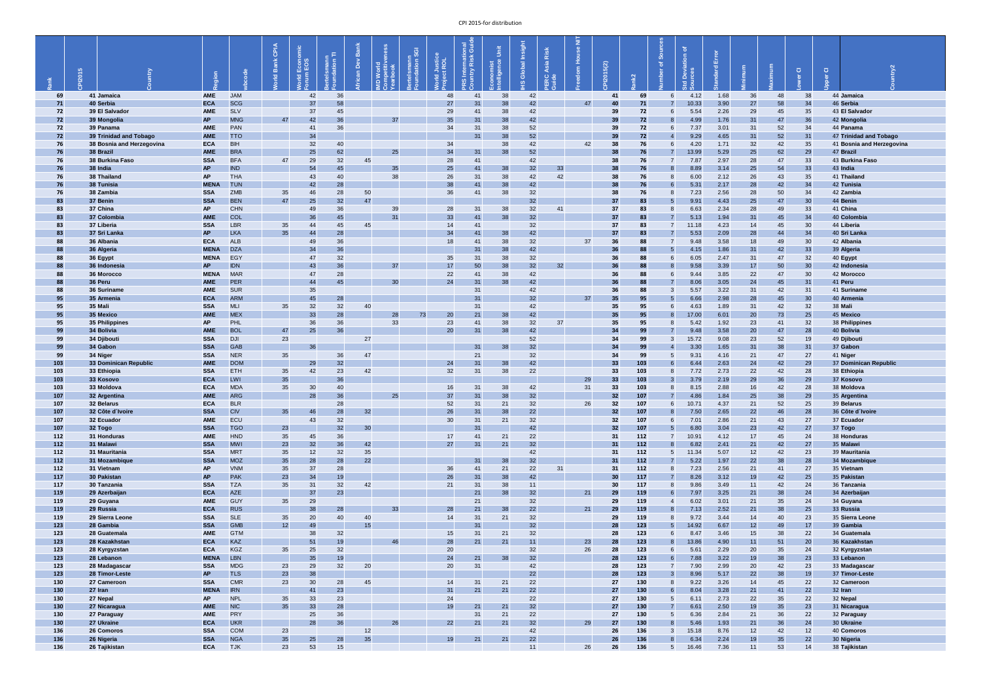|            | $\mathsf{S}$                      |                           |                          | <b>CPIA</b><br>്മ<br>$\overline{2}$ | Econo                 | <b>ertelsmann</b><br>oundation TI | Ĕ<br>$\Omega$   | -3 | ertelsmann<br><sub>D</sub> undation SGI<br>rld Justice<br>Ject ROL | onal<br>Guid<br><b>2S International</b><br><b>S International</b> | Unit<br>onomist<br>elligence | Insight<br>obal<br>$\ddot{\sigma}$ | Asia Risk<br>$R$ $\frac{1}{2}$ | $\bar{z}$ | 2015(2)               | $\sim$     | ঁত            | Error<br>$\sigma$ |          |          | $\overline{O}$  | $\overline{Q}$ |                                   |
|------------|-----------------------------------|---------------------------|--------------------------|-------------------------------------|-----------------------|-----------------------------------|-----------------|----|--------------------------------------------------------------------|-------------------------------------------------------------------|------------------------------|------------------------------------|--------------------------------|-----------|-----------------------|------------|---------------|-------------------|----------|----------|-----------------|----------------|-----------------------------------|
| 69         | 41 Jamaica                        | <b>AME</b>                | <b>JAM</b>               |                                     | 42                    | 36                                |                 |    | 48                                                                 | 41                                                                | 38                           | 42                                 |                                |           |                       | 69         | 4.12          | 1.68              | 36       | 48       | 38              |                | 44 Jamaica                        |
| 71         | 40 Serbia                         | <b>ECA</b>                | <b>SCG</b>               |                                     | 37                    | 58                                |                 |    | 27                                                                 | 31                                                                | 38                           | 42                                 |                                | 47        | 40                    | 71         | 10.33         | 3.90              | 27       | 58       | 34              |                | 46 Serbia                         |
| 72         | 39 El Salvador                    | <b>AME</b>                | <b>SLV</b>               |                                     | 37                    | 45                                |                 |    | 29                                                                 | 41                                                                | 38                           | 42                                 |                                |           | 39                    | 72         | 5.54          | 2.26              | 29       | 45       | 35              |                | 43 El Salvador                    |
| 72         | 39 Mongolia<br>39 Panama          | <b>AP</b><br><b>AME</b>   | <b>MNG</b><br>PAN        | 47                                  | 42                    | 36                                |                 | 37 | 35<br>34                                                           | 31                                                                | 38                           | 42                                 |                                |           | 39                    | 72         | 4.99          | 1.76              | 31       | 47       | 36              |                | 42 Mongolia<br>44 Panama          |
| 72<br>72   | 39 Trinidad and Tobago            | <b>AME</b>                | <b>TTO</b>               |                                     | 34                    | 36                                |                 |    |                                                                    | 31<br>31                                                          | 38<br>38                     | 52<br>52                           |                                |           | 39<br>39              | 72<br>72   | 7.37<br>9.29  | 3.01<br>4.65      | 31<br>31 | 52<br>52 | 34<br>31        |                | 47 Trinidad and Tobago            |
| 76         | 38 Bosnia and Herzegovina         | <b>ECA</b>                | <b>BIH</b>               |                                     | 32                    | 40                                |                 |    | 34                                                                 |                                                                   | 38                           | 42                                 |                                | 42        | 38                    | 76         | 4.20          | 1.71              | 32       | 42       | 35              |                | 41 Bosnia and Herzegovina         |
| 76         | 38 Brazil                         | <b>AME</b>                | <b>BRA</b>               |                                     | 25                    | 62                                |                 | 25 | 34                                                                 | 31                                                                | 38                           | 52                                 |                                |           | 38                    | 76         | 13.99         | 5.29              | 25       | 62       | 29              |                | 47 Brazil                         |
| 76         | 38 Burkina Faso                   | <b>SSA</b>                | <b>BFA</b>               | 47                                  | 29                    | 32                                | 45              |    | 28                                                                 | 41                                                                |                              | 42                                 |                                |           | 38                    | 76         | 7.87          | 2.97              | 28       | 47       | 33              |                | 43 Burkina Faso                   |
| 76         | 38 India                          | <b>AP</b>                 | <b>IND</b>               |                                     | 54                    | 45                                |                 | 35 | 25                                                                 | 41                                                                | 38                           | $32\,$                             | 33                             |           | 38                    | 76         | 8.89          | 3.14              | 25       | 54       | 33              |                | 43 India                          |
| 76         | 38 Thailand                       | <b>AP</b>                 | <b>THA</b>               |                                     | 43                    | 40                                |                 | 38 | 26                                                                 | 31                                                                | 38                           | 42                                 | 42                             |           | 38                    | 76         | 6.00          | 2.12              | 26       | 43       | 35              |                | 41 Thailand                       |
| 76<br>76   | 38 Tunisia<br>38 Zambia           | <b>MENA</b><br><b>SSA</b> | <b>TUN</b><br><b>ZMB</b> | 35                                  | 42<br>46              | 28<br>28                          | 50              |    | 38<br>36                                                           | 41<br>41                                                          | 38<br>38                     | 42<br>32                           |                                |           | 38<br>38              | 76<br>76   | 5.31<br>7.23  | 2.17<br>2.56      | 28<br>28 | 42<br>50 | 34<br>34        |                | 42 Tunisia<br>42 Zambia           |
| 83         | 37 Benin                          | <b>SSA</b>                | <b>BEN</b>               | 47                                  | 25                    | 32                                | 47              |    |                                                                    |                                                                   |                              | 32                                 |                                |           | 37 <sup>′</sup>       | 83         | 9.91          | 4.43              | 25       | 47       | 30              |                | 44 Benin                          |
| 83         | 37 China                          | <b>AP</b>                 | <b>CHN</b>               |                                     | 49                    | 36                                |                 | 39 | 28                                                                 | 31                                                                | 38                           | 32                                 | 41                             |           | 37                    | 83         | 6.63          | 2.34              | 28       | 49       | 33              |                | 41 China                          |
| 83         | 37 Colombia                       | <b>AME</b>                | COL                      |                                     | 36                    | 45                                |                 | 31 | 33                                                                 | 41                                                                | 38                           | 32                                 |                                |           | 37                    | 83         | 5.13          | 1.94              | 31       | 45       | 34              |                | 40 Colombia                       |
| 83         | 37 Liberia                        | <b>SSA</b>                | LBR                      | 35                                  | 44                    | 45                                | 45              |    | 14                                                                 | 41                                                                |                              | 32                                 |                                |           |                       | 83         | 11.18         | 4.23              | 14       | 45       | 30              |                | 44 Liberia                        |
| 83         | 37 Sri Lanka                      | <b>AP</b>                 | <b>LKA</b>               | 35                                  | 44                    | 28                                |                 |    | 34                                                                 | 41                                                                | 38                           | 42                                 |                                |           | 37                    | 83         | 5.53          | 2.09              | 28       | 44       | 34              |                | 40 Sri Lanka                      |
| 88<br>88   | 36 Albania<br>36 Algeria          | <b>ECA</b><br><b>MENA</b> | <b>ALB</b><br><b>DZA</b> |                                     | 49<br>34              | 36<br>36                          |                 |    | 18                                                                 | 41<br>31                                                          | 38<br>38                     | 32<br>42                           |                                | 37        | 36<br>36              | 88<br>88   | 9.48<br>4.15  | 3.58<br>1.86      | 18<br>31 | 49<br>42 | 30<br>33        |                | 42 Albania<br>39 Algeria          |
| 88         | 36 Egypt                          | <b>MENA</b>               | EGY                      |                                     |                       | 32                                |                 |    | 35                                                                 | 31                                                                | 38                           | 32                                 |                                |           | 36                    | 88         | 6.05          | 2.47              | 31       | 47       | 32              |                | 40 Egypt                          |
| 88         | 36 Indonesia                      | AP                        | <b>IDN</b>               |                                     | 43                    | 36                                |                 | 37 | 17                                                                 | 50                                                                | 38                           | 32                                 | 32                             |           | 36                    | 88         | 9.58          | 3.39              | 17       | 50       | 30              |                | 42 Indonesia                      |
| 88         | 36 Morocco                        | <b>MENA</b>               | <b>MAR</b>               |                                     |                       | 28                                |                 |    | 22                                                                 | 41                                                                | 38                           | 42                                 |                                |           | 36                    | 88         | 9.44          | 3.85              | 22       | 47       | 30              |                | 42 Morocco                        |
| 88         | 36 Peru                           | <b>AME</b>                | <b>PER</b>               |                                     | 44                    | 45                                |                 | 30 | 24                                                                 | 31                                                                | 38                           | 42                                 |                                |           | 36                    | 88         | 8.06          | 3.05              | 24       | 45       | 31              |                | 41 Peru                           |
| 88         | 36 Suriname                       | <b>AME</b>                | <b>SUR</b>               |                                     | 35                    |                                   |                 |    |                                                                    | 31                                                                |                              | 42                                 |                                |           | 36                    | 88         | 5.57          | 3.22              | 31       | 42       | 31              |                | 41 Suriname                       |
| 95<br>95   | 35 Armenia<br>35 Mali             | <b>ECA</b><br><b>SSA</b>  | <b>ARM</b><br><b>MLI</b> | 35                                  | 45<br>32 <sup>2</sup> | 28<br>32                          | 40              |    |                                                                    | 31<br>31                                                          |                              | 32<br>42                           |                                | 37        | 35<br>35              | 95<br>95   | 6.66<br>4.63  | 2.98<br>1.89      | 28<br>31 | 45<br>42 | <b>30</b><br>32 |                | 40 Armenia<br>38 Mali             |
| 95         | 35 Mexico                         | <b>AME</b>                | <b>MEX</b>               |                                     | 33 <sup>°</sup>       | 28                                |                 | 28 | 73<br>20                                                           | 21                                                                | 38                           | 42                                 |                                |           | 35                    | 95         | 17.00         | 6.01              | 20       | 73       | 25              |                | 45 Mexico                         |
| 95         | 35 Philippines                    | <b>AP</b>                 | <b>PHL</b>               |                                     | 36                    | 36                                |                 | 33 | 23                                                                 | 41                                                                | 38                           | 32                                 | 37                             |           | 35                    | 95         | 5.42          | 1.92              | 23       | 41       | 32              |                | 38 Philippines                    |
| 99         | 34 Bolivia                        | <b>AME</b>                | <b>BOL</b>               | 47                                  | 25                    | 36                                |                 |    | 20                                                                 | 31                                                                | 38                           | 42                                 |                                |           |                       | 99         | 9.48          | 3.58              | 20       | 47       | 28              |                | 40 Bolivia                        |
| 99         | 34 Djibouti                       | <b>SSA</b>                | <b>DJI</b>               | 23                                  |                       |                                   | 27              |    |                                                                    |                                                                   |                              | 52                                 |                                |           |                       | 99         | 15.72         | 9.08              | 23       | 52       | 19              |                | 49 Djibouti                       |
| 99         | 34 Gabon                          | <b>SSA</b>                | <b>GAB</b>               |                                     | 36                    |                                   |                 |    |                                                                    | 31                                                                | 38                           | 32                                 |                                |           | 34                    | 99         | 3.30          | 1.65              | 31       | 38       | 31              |                | 37 Gabon                          |
| 99         | 34 Niger<br>33 Dominican Republic | <b>SSA</b><br><b>AME</b>  | <b>NER</b><br><b>DOM</b> | 35                                  |                       | 36                                | 47              |    |                                                                    | 21<br>31                                                          |                              | 32<br>42                           |                                |           |                       | 99         | 9.31          | 4.16              | 21       | 47<br>42 | 27              |                | 41 Niger<br>37 Dominican Republic |
| 103<br>103 | 33 Ethiopia                       | <b>SSA</b>                | ETH                      | 35                                  | 29<br>42              | 32<br>23                          | 42              |    | 24<br>$32\,$                                                       | 31                                                                | 38<br>38                     | 22                                 |                                |           | 33<br>33              | 103<br>103 | 6.44<br>7.72  | 2.63<br>2.73      | 24<br>22 | 42       | 29<br>28        |                | 38 Ethiopia                       |
| 103        | 33 Kosovo                         | <b>ECA</b>                | LWI                      | 35                                  |                       | 36                                |                 |    |                                                                    |                                                                   |                              |                                    |                                | 29        | 33                    | 103        | 3.79          | 2.19              | 29       | 36       | 29              |                | 37 Kosovo                         |
| 103        | 33 Moldova                        | <b>ECA</b>                | <b>MDA</b>               | 35                                  | 30 <sup>°</sup>       | 40                                |                 |    | 16                                                                 | 31                                                                | 38                           | 42                                 |                                | 31        | 33                    | 103        | 8.15          | 2.88              | 16       | 42       | 28              |                | 38 Moldova                        |
| 107        | 32 Argentina                      | <b>AME</b>                | <b>ARG</b>               |                                     | 28                    | 36                                |                 | 25 | 37                                                                 | 31                                                                | 38                           | $32\,$                             |                                |           | 32                    | 107        | 4.86          | 1.84              | 25       | 38       | 29              |                | 35 Argentina                      |
| 107        | 32 Belarus                        | <b>ECA</b>                | <b>BLR</b>               |                                     |                       | 28                                |                 |    | 52                                                                 | 31                                                                | 21                           | 32                                 |                                | 26        | 32                    | 107        | 10.71         | 4.37              | 21       | 52       | 25              |                | 39 Belarus                        |
| 107<br>107 | 32 Côte d'Ivoire<br>32 Ecuador    | <b>SSA</b><br><b>AME</b>  | <b>CIV</b><br>ECU        | 35                                  | 46<br>43              | 28<br>32                          | 32              |    | 26<br>$30\,$                                                       | 31<br>31                                                          | 38<br>21                     | 22<br>32                           |                                |           | 32<br>32              | 107<br>107 | 7.50<br>7.01  | 2.65<br>2.86      | 22<br>21 | 46<br>43 | 28<br>27        |                | 36 Côte d'Ivoire<br>37 Ecuador    |
| 107        | 32 Togo                           | <b>SSA</b>                | <b>TGO</b>               | 23                                  |                       | 32                                | 30 <sup>°</sup> |    |                                                                    | 31                                                                |                              | 42                                 |                                |           | 32 <sup>°</sup>       | 107        | 6.80          | 3.04              | 23       | 42       | 27              |                | 37 Togo                           |
| 112        | 31 Honduras                       | <b>AME</b>                | <b>HND</b>               | 35                                  | 45                    | 36                                |                 |    | 17                                                                 | 41                                                                | 21                           | 22                                 |                                |           |                       | 112        | 10.91         | 4.12              | 17       | 45       | 24              |                | 38 Honduras                       |
| 112        | 31 Malawi                         | <b>SSA</b>                | <b>MWI</b>               | 23                                  | 32                    | 36                                | 42              |    | 27                                                                 | 31                                                                | 21                           | 32                                 |                                |           | 31                    | 112        | 6.82          | 2.41              | 21       | 42       | 27              |                | 35 Malawi                         |
| 112        | 31 Mauritania                     | <b>SSA</b>                | <b>MRT</b>               | 35                                  | 12 <sup>2</sup>       | 32                                | 35              |    |                                                                    |                                                                   |                              | 42                                 |                                |           | 31                    | 112        | 11.34         | 5.07              | 12       | 42       | 23              |                | 39 Mauritania                     |
| 112        | 31 Mozambique                     | <b>SSA</b>                | <b>MOZ</b>               | 35                                  | 28                    | 28                                | 22              |    |                                                                    | 31                                                                | $38\,$                       | $32\,$                             |                                |           | 31                    | 112        | 5.22          | 1.97              | 22       | 38       | 28              |                | 34 Mozambique                     |
| 112<br>117 | 31 Vietnam<br>30 Pakistan         | <b>AP</b><br><b>AP</b>    | <b>VNM</b><br><b>PAK</b> | 35<br>23                            | 37<br>34              | 28<br>19                          |                 |    | 36<br>26                                                           | 41<br>31                                                          | 21<br>38                     | 22<br>42                           | 31                             |           | 31<br>30 <sup>°</sup> | 112<br>117 | 7.23<br>8.26  | 2.56<br>3.12      | 21<br>19 | 41<br>42 | 27<br>25        |                | 35 Vietnam<br>35 Pakistan         |
| 117        | 30 Tanzania                       | <b>SSA</b>                | <b>TZA</b>               | 35                                  |                       | 32 <sup>°</sup>                   | 42              |    | 21                                                                 | 31                                                                | 38                           | 11                                 |                                |           | 30                    | 117        | 9.86          | 3.49              | 11       | 42       | 24              |                | 36 Tanzania                       |
| 119        | 29 Azerbaijan                     | <b>ECA</b>                | <b>AZE</b>               |                                     | 37                    | 23                                |                 |    |                                                                    | 21                                                                | 38                           | 32                                 |                                | 21        | 29                    | 119        | 7.97          | 3.25              | 21       | 38       | 24              |                | 34 Azerbaijan                     |
| 119        | 29 Guyana                         | <b>AME</b>                | GUY                      | 35                                  | 29                    |                                   |                 |    |                                                                    | 21                                                                |                              | 32                                 |                                |           | 29                    | 119        | 6.02          | 3.01              | 21       | 35       | 24              |                | 34 Guyana                         |
| <b>119</b> | 29 Russia                         | <b>ECA</b>                | <b>RUS</b>               |                                     | 38                    | 28                                |                 | 33 | 28                                                                 | 21                                                                | 38                           | 22                                 |                                | 21        | 29                    | 119        | 7.13          | 2.52              | 21       | 38       | 25              |                | 33 Russia                         |
| 119<br>123 | 29 Sierra Leone<br>28 Gambia      | <b>SSA</b><br><b>SSA</b>  | <b>SLE</b><br><b>GMB</b> | 35<br>12                            | 20<br>49              | 40                                | 40<br>15        |    | 14                                                                 | 31<br>31                                                          | 21                           | 32<br>32                           |                                |           | 29<br>28              | 119<br>123 | 9.72<br>14.92 | 3.44<br>6.67      | 14<br>12 | 40<br>49 | 23<br>17        |                | 35 Sierra Leone<br>39 Gambia      |
| 123        | 28 Guatemala                      | <b>AME</b>                | <b>GTM</b>               |                                     | 38                    | 32                                |                 |    | 15                                                                 | 31                                                                | 21                           | 32                                 |                                |           | 28                    | 123        | 8.47          | 3.46              | 15       | 38       | 22              |                | 34 Guatemala                      |
| 123        | 28 Kazakhstan                     | <b>ECA</b>                | KAZ                      |                                     | 51                    | 19                                |                 | 46 | 28                                                                 | 21                                                                | 21                           | 11                                 |                                | 23        | 28                    | 123        | 13.86         | 4.90              | 11       | 51       | 20              |                | 36 Kazakhstan                     |
| 123        | 28 Kyrgyzstan                     | <b>ECA</b>                | <b>KGZ</b>               | 35                                  | 25                    | 32                                |                 |    | 20                                                                 |                                                                   |                              | 32                                 |                                | 26        | 28                    | 123        | 5.61          | 2.29              | 20       | 35       | 24              |                | 32 Kyrgyzstan                     |
| 123        | 28 Lebanon                        | <b>MENA</b>               | LBN                      |                                     | 35                    | 19                                |                 |    | 24                                                                 | 21                                                                | 38                           | 32                                 |                                |           | 28                    | 123        | 7.88          | 3.22              | 19       | 38       | 23              |                | 33 Lebanon                        |
| 123        | 28 Madagascar                     | <b>SSA</b>                | <b>MDG</b>               | 23                                  | 29                    | 32                                | 20              |    | 20                                                                 | 31                                                                |                              | 42                                 |                                |           | 28                    | 123        | 7.90          | 2.99              | 20       | 42       | 23              |                | 33 Madagascar                     |
| 123<br>130 | 28 Timor-Leste<br>27 Cameroon     | <b>AP</b><br><b>SSA</b>   | <b>TLS</b><br><b>CMR</b> | 23<br>23                            | 38<br>30 <sup>°</sup> | 28                                | 45              |    | 14                                                                 | 31                                                                | 21                           | 22<br>22                           |                                |           | 28<br>27              | 123<br>130 | 8.96<br>9.22  | 5.17<br>3.26      | 22<br>14 | 38<br>45 | 19<br>22        |                | 37 Timor-Leste<br>32 Cameroon     |
| <b>130</b> | 27 Iran                           | <b>MENA</b>               | <b>IRN</b>               |                                     | 41                    | 23                                |                 |    | 31                                                                 | 21                                                                | 21                           | 22                                 |                                |           | 27                    | 130        | 8.04          | 3.28              | 21       | 41       | 22              |                | 32 Iran                           |
| 130        | 27 Nepal                          | <b>AP</b>                 | <b>NPL</b>               | 35                                  | 33                    | 23                                |                 |    | 24                                                                 |                                                                   |                              | 22                                 |                                |           | 27                    | 130        | 6.11          | 2.73              | 22       | 35       | 22              |                | 32 Nepal                          |
| 130        | 27 Nicaragua                      | AME                       | <b>NIC</b>               | 35 <sup>°</sup>                     | 33 <sup>°</sup>       | 28                                |                 |    | 19                                                                 | 21                                                                | 21                           | 32                                 |                                |           | 27                    | 130        | 6.61          | 2.50              | 19       | 35       | 23              |                | 31 Nicaragua                      |
| 130        | 27 Paraguay                       | <b>AME</b>                | PRY                      |                                     | 25                    | 36                                |                 |    |                                                                    | 31                                                                | 21                           | 22                                 |                                |           | 27                    | 130        | 6.36          | 2.84              | 21       | 36       | 22              |                | 32 Paraguay                       |
| 130        | 27 Ukraine                        | <b>ECA</b>                | <b>UKR</b>               |                                     | 28                    | 36                                |                 | 26 | 22                                                                 | 21                                                                | 21                           | 32                                 |                                | 29        | 27                    | 130        | 5.46          | 1.93              | 21       | 36       | 24              |                | 30 Ukraine                        |
| 136<br>136 | 26 Comoros<br>26 Nigeria          | <b>SSA</b><br><b>SSA</b>  | <b>COM</b><br><b>NGA</b> | 23<br>35                            | 25                    | 28                                | 12<br>35        |    | 19                                                                 | 21                                                                | 21                           | 42<br>22                           |                                |           | 26<br>26              | 136<br>136 | 15.18<br>6.34 | 8.76<br>2.24      | 12<br>19 | 42<br>35 | 12<br>22        |                | 40 Comoros<br>30 Nigeria          |
| 136        | 26 Tajikistan                     | <b>ECA</b>                | <b>TJK</b>               | 23                                  | 53                    | 15                                |                 |    |                                                                    |                                                                   |                              | 11                                 |                                | 26        | 26                    | 136        | 16.46         | 7.36              | 11       | 53       | 14              |                | 38 Tajikistan                     |